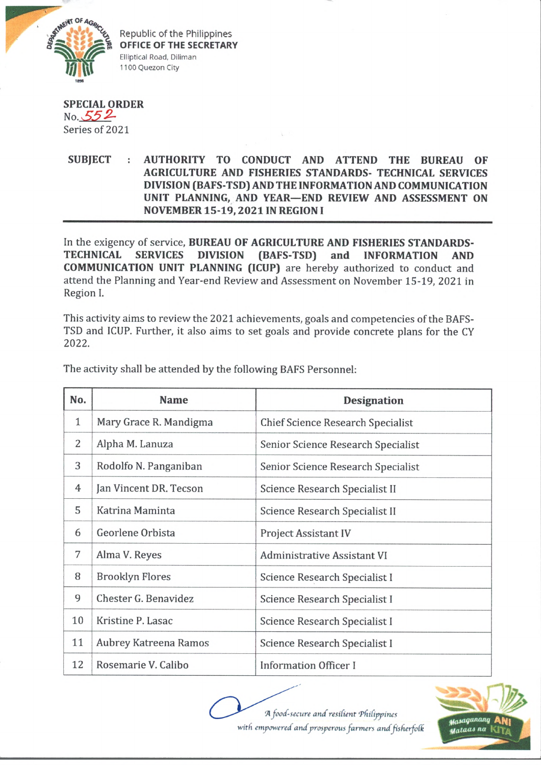

Republic of the Philippines **OFFICE OF THE SECRETARY** Elliptical Road, Diliman 1100 Quezon City

## **SPECIAL ORDER**  $No. 55 2$ Series of 2021

## **SUBJECT : AUTHORITY TO CONDUCT AND ATTEND THE BUREAU OF AGRICULTURE AND FISHERIES STANDARDS- TECHNICAL SERVICES DIVISION (BAFS-TSD) AND THE INFORMATION AND COMMUNICATION UNIT PLANNING, AND YEAR—END REVIEW AND ASSESSMENT ON NOVEMBER 15-19,2021 IN REGION I**

In the exigency of service, **BUREAU OF AGRICULTURE AND FISHERIES STANDARDS-TECHNICAL SERVICES DIVISION (BAFS-TSD) and INFORMATION AND COMMUNICATION UNIT PLANNING (ICUP)** are hereby authorized to conduct and attend the Planning and Year-end Review and Assessment on November 15-19, 2021 in Region I.

This activity aims to review the 2021 achievements, goals and competencies of the BAFS-TSD and ICUP. Further, it also aims to set goals and provide concrete plans for the CY 2022**.**

| No.          | <b>Name</b>            | <b>Designation</b>                 |
|--------------|------------------------|------------------------------------|
| $\mathbf{1}$ | Mary Grace R. Mandigma | Chief Science Research Specialist  |
| 2            | Alpha M. Lanuza        | Senior Science Research Specialist |
| 3            | Rodolfo N. Panganiban  | Senior Science Research Specialist |
| 4            | Jan Vincent DR. Tecson | Science Research Specialist II     |
| 5            | Katrina Maminta        | Science Research Specialist II     |
| 6            | Georlene Orbista       | <b>Project Assistant IV</b>        |
| 7            | Alma V. Reyes          | Administrative Assistant VI        |
| 8            | <b>Brooklyn Flores</b> | Science Research Specialist I      |
| 9            | Chester G. Benavidez   | Science Research Specialist I      |
| 10           | Kristine P. Lasac      | Science Research Specialist I      |
| 11           | Aubrey Katreena Ramos  | Science Research Specialist I      |
| 12           | Rosemarie V. Calibo    | <b>Information Officer I</b>       |

The activity shall be attended by the following BAFS Personnel: